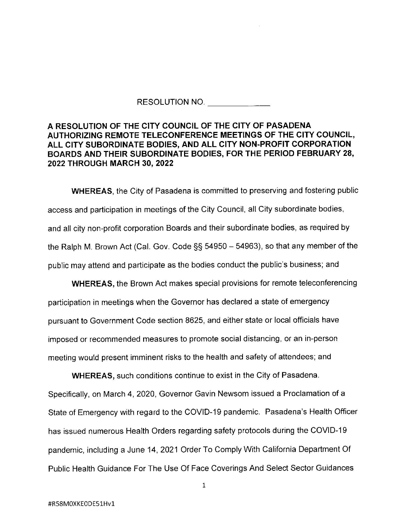## RESOLUTION NO.

## **A RESOLUTION OF THE CITY COUNCIL OF THE CITY OF PASADENA AUTHORIZING REMOTE TELECONFERENCE MEETINGS OF THE CITY COUNCIL, ALL CITY SUBORDINATE BODIES, AND ALL CITY NON-PROFIT CORPORATION BOARDS AND THEIR SUBORDINATE BODIES, FOR THE PERIOD FEBRUARY 28, 2022 THROUGH MARCH 30, 2022**

**WHEREAS,** the City of Pasadena is committed to preserving and fostering public access and participation in meetings of the City Council, all City subordinate bodies, and all city non-profit corporation Boards and their subordinate bodies, as required by the Ralph M. Brown Act (Cal. Gov. Code  $\S$ § 54950 - 54963), so that any member of the public may attend and participate as the bodies conduct the public's business; and

**WHEREAS,** the Brown Act makes special provisions for remote teleconferencing participation in meetings when the Governor has declared a state of emergency pursuant to Government Code section 8625, and either state or local officials have imposed or recommended measures to promote social distancing, or an in-person meeting would present imminent risks to the health and safety of attendees; and

**WHEREAS,** such conditions continue to exist in the City of Pasadena. Specifically, on March 4, 2020, Governor Gavin Newsom issued a Proclamation of a State of Emergency with regard to the COVlD-19 pandemic. Pasadena's Health Officer has issued numerous Health Orders regarding safety protocols during the COVID-19 pandemic, including a June 14, 2021 Order To Comply With California Department Of Public Health Guidance For The Use Of Face Coverings And Select Sector Guidances

1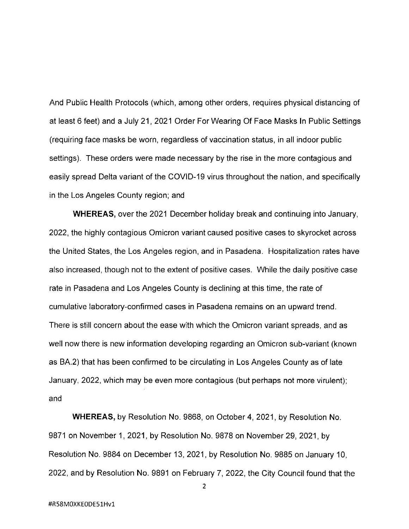And Public Health Protocols (which, among other orders, requires physical distancing of at least 6 feet) and a July 21, 2021 Order For Wearing Of Face Masks In Public Settings (requiring face masks be worn, regardless of vaccination status, in all indoor public settings). These orders were made necessary by the rise in the more contagious and easily spread Delta variant of the COVID-19 virus throughout the nation, and specifically in the Los Angeles County region; and

**WHEREAS,** over the 2021 December holiday break and continuing into January, 2022, the highly contagious Omicron variant caused positive cases to skyrocket across the United States, the Los Angeles region, and in Pasadena. Hospitalization rates have also increased, though not to the extent of positive cases. While the daily positive case rate in Pasadena and Los Angeles County is declining at this time, the rate of cumulative laboratory-confirmed cases in Pasadena remains on an upward trend. There is still concern about the ease with which the Omicron variant spreads, and as well now there is new information developing regarding an Omicron sub-variant (known as BA.2) that has been confirmed to be circulating in Los Angeles County as of late January, 2022, which may be even more contagious (but perhaps not more virulent); and

**WHEREAS,** by Resolution No. 9868, on October 4, 2021, by Resolution No. 9871 on November 1, 2021, by Resolution No. 9878 on November 29, 2021, by Resolution No. 9884 on December 13, 2021, by Resolution No. 9885 on January 10, 2022, and by Resolution No. 9891 on February 7, 2022, the City Council found that the

2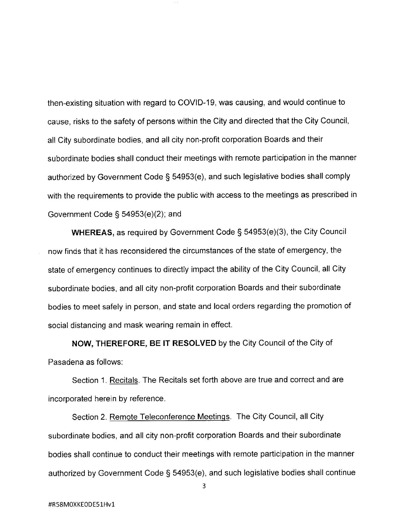then-existing situation with regard to COVID-19, was causing, and would continue to cause, risks to the safety of persons within the City and directed that the City Council, all City subordinate bodies, and all city non-profit corporation Boards and their subordinate bodies shall conduct their meetings with remote participation in the manner authorized by Government Code§ 54953(e), and such legislative bodies shall comply with the requirements to provide the public with access to the meetings as prescribed in Government Code§ 54953(e)(2); and

**WHEREAS,** as required by Government Code§ 54953(e)(3), the City Council now finds that it has reconsidered the circumstances of the state of emergency, the state of emergency continues to directly impact the ability of the City Council, all City subordinate bodies, and all city non-profit corporation Boards and their subordinate bodies to meet safely in person, and state and local orders regarding the promotion of social distancing and mask wearing remain in effect.

**NOW, THEREFORE, BE IT RESOLVED** by the City Council of the City of Pasadena as follows:

Section 1. Recitals. The Recitals set forth above are true and correct and are incorporated herein by reference.

Section 2. Remote Teleconference Meetings. The City Council, all City subordinate bodies, and all city non-profit corporation Boards and their subordinate bodies shall continue to conduct their meetings with remote participation in the manner authorized by Government Code§ 54953(e), and such legislative bodies shall continue

3